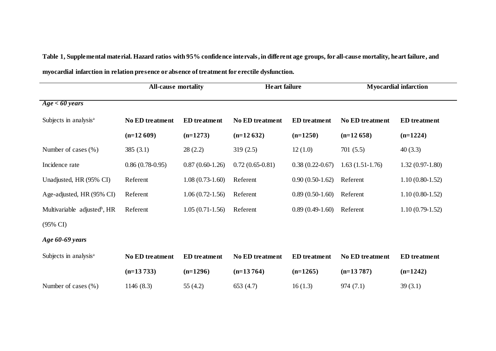**Table 1, Supplemental material. Hazard ratios with 95% confidence intervals, in different age groups, for all-cause mortality, heart failure, and myocardial infarction in relation presence or absence of treatment for erectile dysfunction.**

|                                          | <b>All-cause mortality</b> |                     | <b>Heart failure</b> |                     | <b>Myocardial infarction</b> |                     |
|------------------------------------------|----------------------------|---------------------|----------------------|---------------------|------------------------------|---------------------|
| Age < 60 years                           |                            |                     |                      |                     |                              |                     |
| Subjects in analysis <sup>a</sup>        | <b>No ED treatment</b>     | <b>ED</b> treatment | No ED treatment      | <b>ED</b> treatment | No ED treatment              | <b>ED</b> treatment |
|                                          | $(n=12609)$                | $(n=1273)$          | $(n=12632)$          | $(n=1250)$          | $(n=12658)$                  | $(n=1224)$          |
| Number of cases $(\% )$                  | 385(3.1)                   | 28(2.2)             | 319(2.5)             | 12(1.0)             | 701 (5.5)                    | 40(3.3)             |
| Incidence rate                           | $0.86(0.78-0.95)$          | $0.87(0.60-1.26)$   | $0.72(0.65-0.81)$    | $0.38(0.22-0.67)$   | $1.63(1.51-1.76)$            | $1.32(0.97-1.80)$   |
| Unadjusted, HR (95% CI)                  | Referent                   | $1.08(0.73-1.60)$   | Referent             | $0.90(0.50-1.62)$   | Referent                     | $1.10(0.80-1.52)$   |
| Age-adjusted, HR (95% CI)                | Referent                   | $1.06(0.72-1.56)$   | Referent             | $0.89(0.50-1.60)$   | Referent                     | $1.10(0.80-1.52)$   |
| Multivariable adjusted <sup>b</sup> , HR | Referent                   | $1.05(0.71-1.56)$   | Referent             | $0.89(0.49-1.60)$   | Referent                     | $1.10(0.79-1.52)$   |
| $(95\% \text{ CI})$                      |                            |                     |                      |                     |                              |                     |
| Age 60-69 years                          |                            |                     |                      |                     |                              |                     |
| Subjects in analysis <sup>a</sup>        | <b>No ED treatment</b>     | <b>ED</b> treatment | No ED treatment      | <b>ED</b> treatment | <b>No ED treatment</b>       | <b>ED</b> treatment |
|                                          | $(n=13733)$                | $(n=1296)$          | $(n=13764)$          | $(n=1265)$          | $(n=13787)$                  | $(n=1242)$          |
| Number of cases (%)                      | 1146(8.3)                  | 55 $(4.2)$          | 653(4.7)             | 16(1.3)             | 974(7.1)                     | 39(3.1)             |